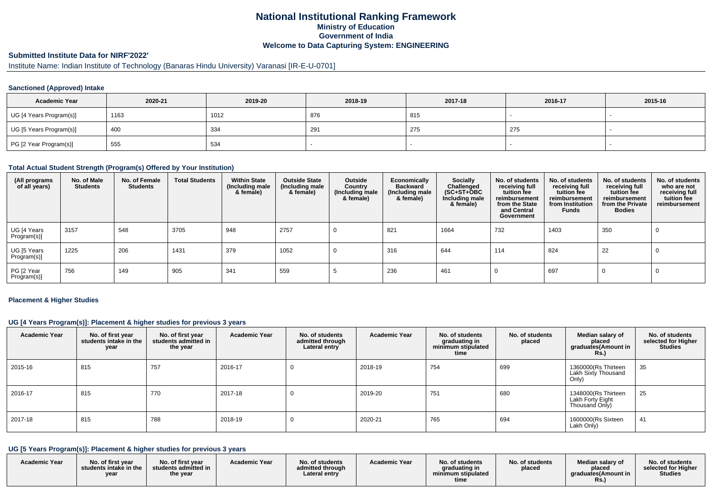# **National Institutional Ranking FrameworkMinistry of Education Government of IndiaWelcome to Data Capturing System: ENGINEERING**

# **Submitted Institute Data for NIRF'2022'**

# Institute Name: Indian Institute of Technology (Banaras Hindu University) Varanasi [IR-E-U-0701]

#### **Sanctioned (Approved) Intake**

| <b>Academic Year</b>    | 2020-21 | 2019-20 | 2018-19 | 2017-18 | 2016-17 | 2015-16 |
|-------------------------|---------|---------|---------|---------|---------|---------|
| UG [4 Years Program(s)] | 1163    | 1012    | 876     | 815     |         |         |
| UG [5 Years Program(s)] | 400     | 334     | 291     | 275     | 275     |         |
| PG [2 Year Program(s)]  | 555     | 534     |         |         |         |         |

#### **Total Actual Student Strength (Program(s) Offered by Your Institution)**

| (All programs<br>of all years) | No. of Male<br><b>Students</b> | No. of Female<br><b>Students</b> | <b>Total Students</b> | <b>Within State</b><br>(Including male<br>& female) | <b>Outside State</b><br>(Including male<br>& female) | Outside<br>Country<br>(Including male<br>& female) | Economically<br><b>Backward</b><br>(Including male<br>& female) | Socially<br>Challenged<br>$(SC+ST+ÖBC)$<br>Including male<br>& female) | No. of students<br>receiving full<br>tuition fee<br>reimbursement<br>from the State<br>and Central<br>Government | No. of students<br>receiving full<br>tuition fee<br>reimbursement<br>from Institution<br><b>Funds</b> | No. of students<br>receiving full<br>tuition fee<br>reimbursement<br>from the Private<br><b>Bodies</b> | No. of students<br>who are not<br>receiving full<br>tuition fee<br>reimbursement |
|--------------------------------|--------------------------------|----------------------------------|-----------------------|-----------------------------------------------------|------------------------------------------------------|----------------------------------------------------|-----------------------------------------------------------------|------------------------------------------------------------------------|------------------------------------------------------------------------------------------------------------------|-------------------------------------------------------------------------------------------------------|--------------------------------------------------------------------------------------------------------|----------------------------------------------------------------------------------|
| UG [4 Years<br>Program(s)]     | 3157                           | 548                              | 3705                  | 948                                                 | 2757                                                 | 0                                                  | 821                                                             | 1664                                                                   | 732                                                                                                              | 1403                                                                                                  | 350                                                                                                    |                                                                                  |
| UG [5 Years<br>Program(s)]     | 1225                           | 206                              | 1431                  | 379                                                 | 1052                                                 |                                                    | 316                                                             | 644                                                                    | 114                                                                                                              | 824                                                                                                   | 22                                                                                                     |                                                                                  |
| PG [2 Year<br>Program(s)]      | 756                            | 149                              | 905                   | 341                                                 | 559                                                  |                                                    | 236                                                             | 461                                                                    |                                                                                                                  | 697                                                                                                   |                                                                                                        |                                                                                  |

#### **Placement & Higher Studies**

### **UG [4 Years Program(s)]: Placement & higher studies for previous 3 years**

| <b>Academic Year</b> | No. of first year<br>students intake in the<br>year | No. of first year<br>students admitted in<br>the year | <b>Academic Year</b> | No. of students<br>admitted through<br>Lateral entry | <b>Academic Year</b> | No. of students<br>graduating in<br>minimum stipulated<br>time | No. of students<br>placed | Median salary of<br>placed<br>graduates(Amount in<br>Rs.) | No. of students<br>selected for Higher<br><b>Studies</b> |
|----------------------|-----------------------------------------------------|-------------------------------------------------------|----------------------|------------------------------------------------------|----------------------|----------------------------------------------------------------|---------------------------|-----------------------------------------------------------|----------------------------------------------------------|
| 2015-16              | 815                                                 | 757                                                   | 2016-17              | υ                                                    | 2018-19              | 754                                                            | 699                       | 1360000(Rs Thirteen<br>Lakh Sixty Thousand<br>Only)       | 35                                                       |
| 2016-17              | 815                                                 | 770                                                   | 2017-18              |                                                      | 2019-20              | 751                                                            | 680                       | 1348000(Rs Thirteen<br>Lakh Forty Eight<br>Thousand Only) | 25                                                       |
| 2017-18              | 815                                                 | 788                                                   | 2018-19              | υ                                                    | 2020-21              | 765                                                            | 694                       | 1600000(Rs Sixteen<br>Lakh Only)                          | 41                                                       |

### **UG [5 Years Program(s)]: Placement & higher studies for previous 3 years**

| <b>Academic Year</b><br><b>Academic Year</b><br><b>Academic Year</b><br>No. of students<br>No. of first year<br>Median salary of<br>No. of first year<br>No. of students<br>No. of students<br>No. of students<br>selected for Higher<br>admitted through<br>graduating in<br>students intake in the<br>students admitted in<br>placed<br>placed<br><b>Studies</b><br>araduates(Amount in<br>Lateral entrv<br>minimum stipulated<br>the year<br>vear<br>time<br>KS. |  |
|---------------------------------------------------------------------------------------------------------------------------------------------------------------------------------------------------------------------------------------------------------------------------------------------------------------------------------------------------------------------------------------------------------------------------------------------------------------------|--|
|---------------------------------------------------------------------------------------------------------------------------------------------------------------------------------------------------------------------------------------------------------------------------------------------------------------------------------------------------------------------------------------------------------------------------------------------------------------------|--|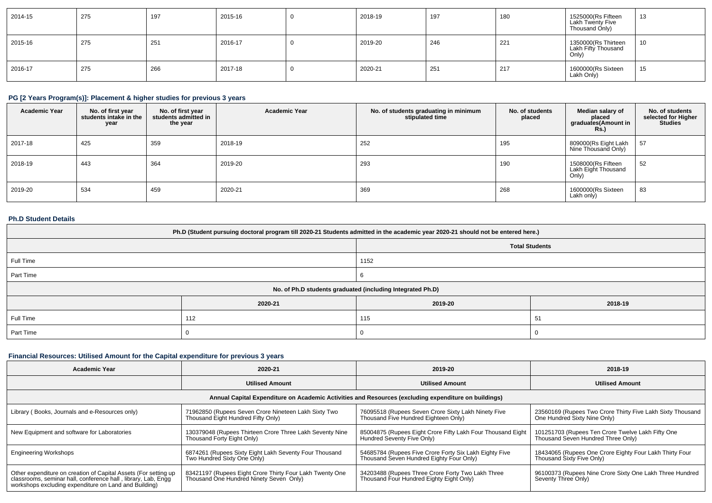| 2014-15 | 275 | 197 | 2015-16 | 2018-19 | 197 | 180 | 1525000(Rs Fifteen<br>Lakh Twenty Five<br>Thousand Only) | 13 |
|---------|-----|-----|---------|---------|-----|-----|----------------------------------------------------------|----|
| 2015-16 | 275 | 251 | 2016-17 | 2019-20 | 246 | 221 | 1350000(Rs Thirteen<br>Lakh Fifty Thousand<br>Only)      | 10 |
| 2016-17 | 275 | 266 | 2017-18 | 2020-21 | 251 | 217 | 1600000(Rs Sixteen<br>Lakh Only)                         | 15 |

# **PG [2 Years Program(s)]: Placement & higher studies for previous 3 years**

| <b>Academic Year</b> | No. of first year<br>students intake in the<br>year | No. of first vear<br>students admitted in<br>the year | <b>Academic Year</b> | No. of students graduating in minimum<br>stipulated time | No. of students<br>placed | Median salary of<br>placed<br>graduates(Amount in<br><b>Rs.)</b> | No. of students<br>selected for Higher<br><b>Studies</b> |
|----------------------|-----------------------------------------------------|-------------------------------------------------------|----------------------|----------------------------------------------------------|---------------------------|------------------------------------------------------------------|----------------------------------------------------------|
| 2017-18              | 425                                                 | 359                                                   | 2018-19              | 252                                                      | 195                       | 809000(Rs Eight Lakh<br>Nine Thousand Only)                      | 57                                                       |
| 2018-19              | 443                                                 | 364                                                   | 2019-20              | 293                                                      | 190                       | 1508000(Rs Fifteen<br>Lakh Eight Thousand<br>Only)               | 52                                                       |
| 2019-20              | 534                                                 | 459                                                   | 2020-21              | 369                                                      | 268                       | 1600000(Rs Sixteen<br>Lakh only)                                 | 83                                                       |

#### **Ph.D Student Details**

| Ph.D (Student pursuing doctoral program till 2020-21 Students admitted in the academic year 2020-21 should not be entered here.) |                                                            |         |         |  |  |  |  |
|----------------------------------------------------------------------------------------------------------------------------------|------------------------------------------------------------|---------|---------|--|--|--|--|
| <b>Total Students</b>                                                                                                            |                                                            |         |         |  |  |  |  |
| Full Time                                                                                                                        |                                                            | 1152    |         |  |  |  |  |
| Part Time                                                                                                                        |                                                            |         |         |  |  |  |  |
|                                                                                                                                  | No. of Ph.D students graduated (including Integrated Ph.D) |         |         |  |  |  |  |
|                                                                                                                                  | 2020-21                                                    | 2019-20 | 2018-19 |  |  |  |  |
| Full Time                                                                                                                        | 112                                                        | 115     | 51      |  |  |  |  |
| Part Time                                                                                                                        |                                                            |         |         |  |  |  |  |

# **Financial Resources: Utilised Amount for the Capital expenditure for previous 3 years**

| <b>Academic Year</b>                                                                                                                                                                      | 2020-21                                                                                             | 2019-20                                                                                              | 2018-19                                                                                    |
|-------------------------------------------------------------------------------------------------------------------------------------------------------------------------------------------|-----------------------------------------------------------------------------------------------------|------------------------------------------------------------------------------------------------------|--------------------------------------------------------------------------------------------|
|                                                                                                                                                                                           | <b>Utilised Amount</b>                                                                              | <b>Utilised Amount</b>                                                                               | <b>Utilised Amount</b>                                                                     |
|                                                                                                                                                                                           |                                                                                                     | Annual Capital Expenditure on Academic Activities and Resources (excluding expenditure on buildings) |                                                                                            |
| Library (Books, Journals and e-Resources only)                                                                                                                                            | 71962850 (Rupees Seven Crore Nineteen Lakh Sixty Two<br>Thousand Eight Hundred Fifty Only)          | 76095518 (Rupees Seven Crore Sixty Lakh Ninety Five<br>Thousand Five Hundred Eighteen Only)          | 23560169 (Rupees Two Crore Thirty Five Lakh Sixty Thousand<br>One Hundred Sixty Nine Only) |
| New Equipment and software for Laboratories                                                                                                                                               | 130379048 (Rupees Thirteen Crore Three Lakh Seventy Nine<br>Thousand Forty Eight Only)              | 85004875 (Rupees Eight Crore Fifty Lakh Four Thousand Eight<br>Hundred Seventy Five Only)            | 101251703 (Rupees Ten Crore Twelve Lakh Fifty One<br>Thousand Seven Hundred Three Only)    |
| <b>Engineering Workshops</b>                                                                                                                                                              | 6874261 (Rupees Sixty Eight Lakh Seventy Four Thousand<br>Two Hundred Sixty One Only)               | 54685784 (Rupees Five Crore Forty Six Lakh Eighty Five<br>Thousand Seven Hundred Eighty Four Only)   | 18434065 (Rupees One Crore Eighty Four Lakh Thirty Four<br>Thousand Sixty Five Only)       |
| Other expenditure on creation of Capital Assets (For setting up<br>classrooms, seminar hall, conference hall, library, Lab, Engg<br>workshops excluding expenditure on Land and Building) | 83421197 (Rupees Eight Crore Thirty Four Lakh Twenty One<br>Thousand One Hundred Ninety Seven Only) | 34203488 (Rupees Three Crore Forty Two Lakh Three<br>Thousand Four Hundred Eighty Eight Only)        | 96100373 (Rupees Nine Crore Sixty One Lakh Three Hundred<br>Seventy Three Only)            |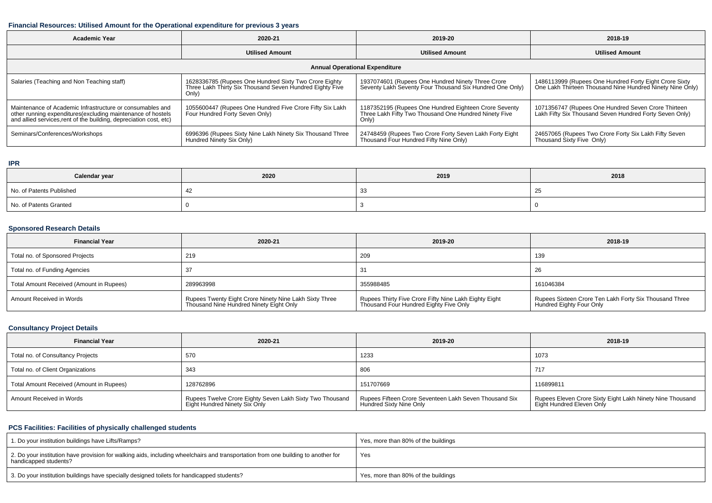#### **Financial Resources: Utilised Amount for the Operational expenditure for previous 3 years**

| <b>Academic Year</b><br>2020-21                                                                                                                                                                 |                                                                                                                            | 2019-20                                                                                                                 | 2018-19                                                                                                             |  |  |  |  |  |
|-------------------------------------------------------------------------------------------------------------------------------------------------------------------------------------------------|----------------------------------------------------------------------------------------------------------------------------|-------------------------------------------------------------------------------------------------------------------------|---------------------------------------------------------------------------------------------------------------------|--|--|--|--|--|
|                                                                                                                                                                                                 | <b>Utilised Amount</b>                                                                                                     |                                                                                                                         | <b>Utilised Amount</b>                                                                                              |  |  |  |  |  |
| <b>Annual Operational Expenditure</b>                                                                                                                                                           |                                                                                                                            |                                                                                                                         |                                                                                                                     |  |  |  |  |  |
| Salaries (Teaching and Non Teaching staff)                                                                                                                                                      | 1628336785 (Rupees One Hundred Sixty Two Crore Eighty<br>Three Lakh Thirty Six Thousand Seven Hundred Eighty Five<br>Only) | 1937074601 (Rupees One Hundred Ninety Three Crore<br>Seventy Lakh Seventy Four Thousand Six Hundred One Only)           | 1486113999 (Rupees One Hundred Forty Eight Crore Sixty<br>One Lakh Thirteen Thousand Nine Hundred Ninety Nine Only) |  |  |  |  |  |
| Maintenance of Academic Infrastructure or consumables and<br>other running expenditures (excluding maintenance of hostels<br>and allied services, rent of the building, depreciation cost, etc) | 1055600447 (Rupees One Hundred Five Crore Fifty Six Lakh<br>Four Hundred Forty Seven Only)                                 | 1187352195 (Rupees One Hundred Eighteen Crore Seventy<br>Three Lakh Fifty Two Thousand One Hundred Ninety Five<br>Only) | 1071356747 (Rupees One Hundred Seven Crore Thirteen<br>Lakh Fifty Six Thousand Seven Hundred Forty Seven Only)      |  |  |  |  |  |
| Seminars/Conferences/Workshops                                                                                                                                                                  | 6996396 (Rupees Sixty Nine Lakh Ninety Six Thousand Three<br>Hundred Ninety Six Only)                                      | 24748459 (Rupees Two Crore Forty Seven Lakh Forty Eight<br>Thousand Four Hundred Fifty Nine Only)                       | 24657065 (Rupees Two Crore Forty Six Lakh Fifty Seven<br>Thousand Sixty Five Only)                                  |  |  |  |  |  |

#### **IPR**

| Calendar year            | 2020 | 2019 | 2018 |
|--------------------------|------|------|------|
| No. of Patents Published | 44   | ັບ   | ້    |
| No. of Patents Granted   |      |      |      |

# **Sponsored Research Details**

| <b>Financial Year</b>                    | 2020-21                                                                                           | 2019-20                                                                                         | 2018-19                                                                            |
|------------------------------------------|---------------------------------------------------------------------------------------------------|-------------------------------------------------------------------------------------------------|------------------------------------------------------------------------------------|
| Total no. of Sponsored Projects          | 219                                                                                               | 209                                                                                             | 139                                                                                |
| Total no. of Funding Agencies            |                                                                                                   | 31                                                                                              | 26                                                                                 |
| Total Amount Received (Amount in Rupees) | 289963998                                                                                         | 355988485                                                                                       | 161046384                                                                          |
| Amount Received in Words                 | Rupees Twenty Eight Crore Ninety Nine Lakh Sixty Three<br>Thousand Nine Hundred Ninety Eight Only | Rupees Thirty Five Crore Fifty Nine Lakh Eighty Eight<br>Thousand Four Hundred Eighty Five Only | Rupees Sixteen Crore Ten Lakh Forty Six Thousand Three<br>Hundred Eighty Four Only |

### **Consultancy Project Details**

| <b>Financial Year</b>                    | 2020-21                                                                                   | 2019-20                                                                           | 2018-19                                                                                |
|------------------------------------------|-------------------------------------------------------------------------------------------|-----------------------------------------------------------------------------------|----------------------------------------------------------------------------------------|
| Total no. of Consultancy Projects        | 570                                                                                       | 1233                                                                              | 1073                                                                                   |
| Total no. of Client Organizations        | 343                                                                                       | 806                                                                               | 717                                                                                    |
| Total Amount Received (Amount in Rupees) | 128762896                                                                                 | 151707669                                                                         | 116899811                                                                              |
| Amount Received in Words                 | Rupees Twelve Crore Eighty Seven Lakh Sixty Two Thousand<br>Eight Hundred Ninety Six Only | Rupees Fifteen Crore Seventeen Lakh Seven Thousand Six<br>Hundred Sixty Nine Only | Rupees Eleven Crore Sixty Eight Lakh Ninety Nine Thousand<br>Eight Hundred Eleven Only |

# **PCS Facilities: Facilities of physically challenged students**

| 1. Do your institution buildings have Lifts/Ramps?                                                                                                         | Yes, more than 80% of the buildings |
|------------------------------------------------------------------------------------------------------------------------------------------------------------|-------------------------------------|
| 2. Do your institution have provision for walking aids, including wheelchairs and transportation from one building to another for<br>handicapped students? | Yes                                 |
| 3. Do your institution buildings have specially designed toilets for handicapped students?                                                                 | Yes, more than 80% of the buildings |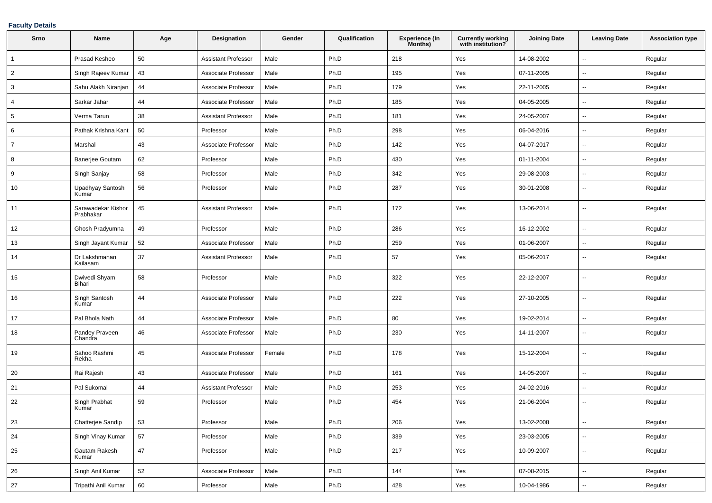#### **Faculty Details**

| Srno            | Name                            | Age        | <b>Designation</b>         | Gender | Qualification | Experience (In<br>Months) | <b>Currently working</b><br>with institution? | <b>Joining Date</b> | <b>Leaving Date</b>      | <b>Association type</b> |
|-----------------|---------------------------------|------------|----------------------------|--------|---------------|---------------------------|-----------------------------------------------|---------------------|--------------------------|-------------------------|
| $\overline{1}$  | Prasad Kesheo                   | 50         | <b>Assistant Professor</b> | Male   | Ph.D          | 218                       | Yes                                           | 14-08-2002          | $\sim$                   | Regular                 |
| $\overline{2}$  | Singh Rajeev Kumar              | 43         | Associate Professor        | Male   | Ph.D          | 195                       | Yes                                           | 07-11-2005          | $\overline{\phantom{a}}$ | Regular                 |
| 3               | Sahu Alakh Niranjan             | 44         | Associate Professor        | Male   | Ph.D          | 179                       | Yes                                           | 22-11-2005          | $\overline{\phantom{a}}$ | Regular                 |
| 4               | Sarkar Jahar                    | 44         | Associate Professor        | Male   | Ph.D          | 185                       | Yes                                           | 04-05-2005          | $\overline{\phantom{a}}$ | Regular                 |
| $5\phantom{.0}$ | Verma Tarun                     | 38         | <b>Assistant Professor</b> | Male   | Ph.D          | 181                       | Yes                                           | 24-05-2007          | $\overline{\phantom{a}}$ | Regular                 |
| 6               | Pathak Krishna Kant             | 50         | Professor                  | Male   | Ph.D          | 298                       | Yes                                           | 06-04-2016          | $\overline{\phantom{a}}$ | Regular                 |
| $\overline{7}$  | Marshal                         | 43         | Associate Professor        | Male   | Ph.D          | 142                       | Yes                                           | 04-07-2017          | $\sim$                   | Regular                 |
| 8               | <b>Banerjee Goutam</b>          | 62         | Professor                  | Male   | Ph.D          | 430                       | Yes                                           | 01-11-2004          | $\overline{\phantom{a}}$ | Regular                 |
| 9               | Singh Sanjay                    | 58         | Professor                  | Male   | Ph.D          | 342                       | Yes                                           | 29-08-2003          | $\overline{\phantom{a}}$ | Regular                 |
| 10              | Upadhyay Santosh<br>Kumar       | 56         | Professor                  | Male   | Ph.D          | 287                       | Yes                                           | 30-01-2008          | $\overline{\phantom{a}}$ | Regular                 |
| 11              | Sarawadekar Kishor<br>Prabhakar | 45         | <b>Assistant Professor</b> | Male   | Ph.D          | 172                       | Yes                                           | 13-06-2014          | $\overline{\phantom{a}}$ | Regular                 |
| 12              | Ghosh Pradyumna                 | 49         | Professor                  | Male   | Ph.D          | 286                       | Yes                                           | 16-12-2002          | $\sim$                   | Regular                 |
| 13              | Singh Jayant Kumar              | 52         | Associate Professor        | Male   | Ph.D          | 259                       | Yes                                           | 01-06-2007          | $\sim$                   | Regular                 |
| 14              | Dr Lakshmanan<br>Kailasam       | 37         | <b>Assistant Professor</b> | Male   | Ph.D          | 57                        | Yes                                           | 05-06-2017          | $\sim$                   | Regular                 |
| 15              | Dwivedi Shyam<br>Bihari         | 58         | Professor                  | Male   | Ph.D          | 322                       | Yes                                           | 22-12-2007          | $\overline{\phantom{a}}$ | Regular                 |
| 16              | Singh Santosh<br>Kumar          | 44         | Associate Professor        | Male   | Ph.D          | 222                       | Yes                                           | 27-10-2005          | $\overline{\phantom{a}}$ | Regular                 |
| 17              | Pal Bhola Nath                  | 44         | Associate Professor        | Male   | Ph.D          | 80                        | Yes                                           | 19-02-2014          | $\overline{\phantom{a}}$ | Regular                 |
| 18              | Pandey Praveen<br>Chandra       | 46         | Associate Professor        | Male   | Ph.D          | 230                       | Yes                                           | 14-11-2007          | $\overline{\phantom{a}}$ | Regular                 |
| 19              | Sahoo Rashmi<br>Rekha           | 45         | Associate Professor        | Female | Ph.D          | 178                       | Yes                                           | 15-12-2004          | $\overline{\phantom{a}}$ | Regular                 |
| 20              | Rai Rajesh                      | 43         | Associate Professor        | Male   | Ph.D          | 161                       | Yes                                           | 14-05-2007          | $\overline{a}$           | Regular                 |
| 21              | Pal Sukomal                     | 44         | <b>Assistant Professor</b> | Male   | Ph.D          | 253                       | Yes                                           | 24-02-2016          | $\overline{\phantom{a}}$ | Regular                 |
| 22              | Singh Prabhat<br>Kumar          | 59         | Professor                  | Male   | Ph.D          | 454                       | Yes                                           | 21-06-2004          |                          | Regular                 |
| 23              | Chatterjee Sandip               | 53         | Professor                  | Male   | Ph.D          | 206                       | Yes                                           | 13-02-2008          | $\sim$                   | Regular                 |
| 24              | Singh Vinay Kumar               | ${\bf 57}$ | Professor                  | Male   | Ph.D          | 339                       | Yes                                           | 23-03-2005          | $\overline{\phantom{a}}$ | Regular                 |
| 25              | Gautam Rakesh<br>Kumar          | 47         | Professor                  | Male   | Ph.D          | 217                       | Yes                                           | 10-09-2007          | $\overline{\phantom{a}}$ | Regular                 |
| 26              | Singh Anil Kumar                | 52         | Associate Professor        | Male   | Ph.D          | 144                       | Yes                                           | 07-08-2015          | $\overline{\phantom{a}}$ | Regular                 |
| 27              | Tripathi Anil Kumar             | 60         | Professor                  | Male   | Ph.D          | 428                       | Yes                                           | 10-04-1986          | $\overline{\phantom{a}}$ | Regular                 |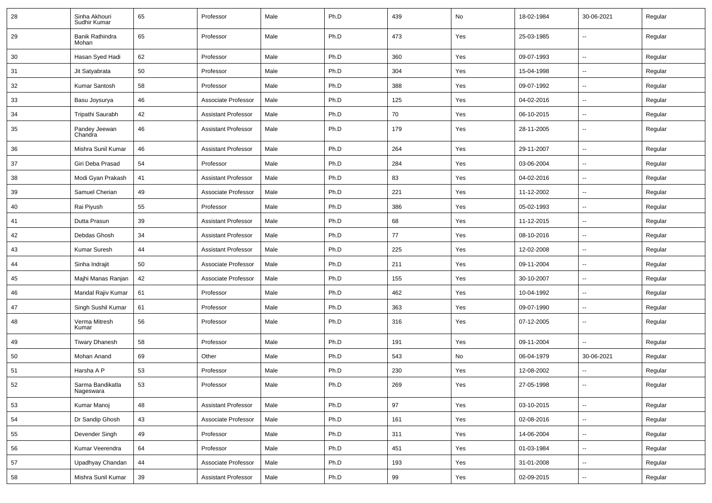| 28 | Sinha Akhouri<br>Sudhir Kumar | 65 | Professor                  | Male | Ph.D | 439 | No  | 18-02-1984 | 30-06-2021               | Regular |
|----|-------------------------------|----|----------------------------|------|------|-----|-----|------------|--------------------------|---------|
| 29 | Banik Rathindra<br>Mohan      | 65 | Professor                  | Male | Ph.D | 473 | Yes | 25-03-1985 | $\overline{\phantom{a}}$ | Regular |
| 30 | Hasan Syed Hadi               | 62 | Professor                  | Male | Ph.D | 360 | Yes | 09-07-1993 | $\overline{\phantom{a}}$ | Regular |
| 31 | Jit Satyabrata                | 50 | Professor                  | Male | Ph.D | 304 | Yes | 15-04-1998 |                          | Regular |
| 32 | Kumar Santosh                 | 58 | Professor                  | Male | Ph.D | 388 | Yes | 09-07-1992 | --                       | Regular |
| 33 | Basu Joysurya                 | 46 | Associate Professor        | Male | Ph.D | 125 | Yes | 04-02-2016 | $\overline{\phantom{a}}$ | Regular |
| 34 | Tripathi Saurabh              | 42 | <b>Assistant Professor</b> | Male | Ph.D | 70  | Yes | 06-10-2015 | $\overline{\phantom{a}}$ | Regular |
| 35 | Pandey Jeewan<br>Chandra      | 46 | <b>Assistant Professor</b> | Male | Ph.D | 179 | Yes | 28-11-2005 | $\sim$                   | Regular |
| 36 | Mishra Sunil Kumar            | 46 | <b>Assistant Professor</b> | Male | Ph.D | 264 | Yes | 29-11-2007 | $\sim$                   | Regular |
| 37 | Giri Deba Prasad              | 54 | Professor                  | Male | Ph.D | 284 | Yes | 03-06-2004 | $\sim$                   | Regular |
| 38 | Modi Gyan Prakash             | 41 | <b>Assistant Professor</b> | Male | Ph.D | 83  | Yes | 04-02-2016 | --                       | Regular |
| 39 | Samuel Cherian                | 49 | Associate Professor        | Male | Ph.D | 221 | Yes | 11-12-2002 | $\sim$                   | Regular |
| 40 | Rai Piyush                    | 55 | Professor                  | Male | Ph.D | 386 | Yes | 05-02-1993 | $\overline{\phantom{a}}$ | Regular |
| 41 | Dutta Prasun                  | 39 | <b>Assistant Professor</b> | Male | Ph.D | 68  | Yes | 11-12-2015 | --                       | Regular |
| 42 | Debdas Ghosh                  | 34 | <b>Assistant Professor</b> | Male | Ph.D | 77  | Yes | 08-10-2016 | $\sim$                   | Regular |
| 43 | Kumar Suresh                  | 44 | <b>Assistant Professor</b> | Male | Ph.D | 225 | Yes | 12-02-2008 | $\sim$                   | Regular |
| 44 | Sinha Indrajit                | 50 | Associate Professor        | Male | Ph.D | 211 | Yes | 09-11-2004 | --                       | Regular |
| 45 | Majhi Manas Ranjan            | 42 | Associate Professor        | Male | Ph.D | 155 | Yes | 30-10-2007 |                          | Regular |
| 46 | Mandal Rajiv Kumar            | 61 | Professor                  | Male | Ph.D | 462 | Yes | 10-04-1992 | $\overline{a}$           | Regular |
| 47 | Singh Sushil Kumar            | 61 | Professor                  | Male | Ph.D | 363 | Yes | 09-07-1990 | --                       | Regular |
| 48 | Verma Mitresh<br>Kumar        | 56 | Professor                  | Male | Ph.D | 316 | Yes | 07-12-2005 | $\sim$                   | Regular |
| 49 | <b>Tiwary Dhanesh</b>         | 58 | Professor                  | Male | Ph.D | 191 | Yes | 09-11-2004 |                          | Regular |
| 50 | Mohan Anand                   | 69 | Other                      | Male | Ph.D | 543 | No  | 06-04-1979 | 30-06-2021               | Regular |
| 51 | Harsha A P                    | 53 | Professor                  | Male | Ph.D | 230 | Yes | 12-08-2002 |                          | Regular |
| 52 | Sarma Bandikatla<br>Nageswara | 53 | Professor                  | Male | Ph.D | 269 | Yes | 27-05-1998 | $\sim$                   | Regular |
| 53 | Kumar Manoj                   | 48 | <b>Assistant Professor</b> | Male | Ph.D | 97  | Yes | 03-10-2015 | $\overline{\phantom{a}}$ | Regular |
| 54 | Dr Sandip Ghosh               | 43 | Associate Professor        | Male | Ph.D | 161 | Yes | 02-08-2016 | $\sim$                   | Regular |
| 55 | Devender Singh                | 49 | Professor                  | Male | Ph.D | 311 | Yes | 14-06-2004 | $\overline{\phantom{a}}$ | Regular |
| 56 | Kumar Veerendra               | 64 | Professor                  | Male | Ph.D | 451 | Yes | 01-03-1984 | $\ddot{\phantom{a}}$     | Regular |
| 57 | Upadhyay Chandan              | 44 | Associate Professor        | Male | Ph.D | 193 | Yes | 31-01-2008 | $\sim$                   | Regular |
| 58 | Mishra Sunil Kumar            | 39 | <b>Assistant Professor</b> | Male | Ph.D | 99  | Yes | 02-09-2015 | $\sim$                   | Regular |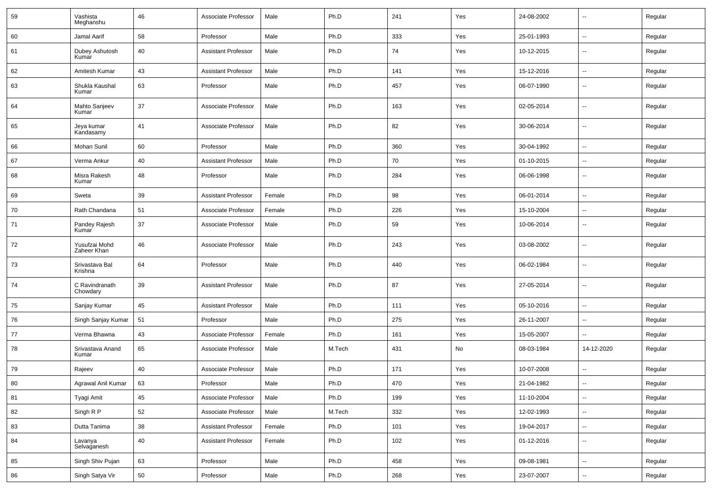| 59 | Vashista<br>Meghanshu        | 46 | Associate Professor        | Male   | Ph.D   | 241 | Yes | 24-08-2002 | $\sim$                   | Regular |
|----|------------------------------|----|----------------------------|--------|--------|-----|-----|------------|--------------------------|---------|
| 60 | Jamal Aarif                  | 58 | Professor                  | Male   | Ph.D   | 333 | Yes | 25-01-1993 | Ξ.                       | Regular |
| 61 | Dubey Ashutosh<br>Kumar      | 40 | <b>Assistant Professor</b> | Male   | Ph.D   | 74  | Yes | 10-12-2015 | $\overline{\phantom{a}}$ | Regular |
| 62 | Amitesh Kumar                | 43 | <b>Assistant Professor</b> | Male   | Ph.D   | 141 | Yes | 15-12-2016 | $\sim$                   | Regular |
| 63 | Shukla Kaushal<br>Kumar      | 63 | Professor                  | Male   | Ph.D   | 457 | Yes | 06-07-1990 | $\overline{\phantom{a}}$ | Regular |
| 64 | Mahto Sanjeev<br>Kumar       | 37 | Associate Professor        | Male   | Ph.D   | 163 | Yes | 02-05-2014 | $\overline{\phantom{a}}$ | Regular |
| 65 | Jeya kumar<br>Kandasamy      | 41 | Associate Professor        | Male   | Ph.D   | 82  | Yes | 30-06-2014 | $\overline{\phantom{a}}$ | Regular |
| 66 | Mohan Sunil                  | 60 | Professor                  | Male   | Ph.D   | 360 | Yes | 30-04-1992 | $\overline{\phantom{a}}$ | Regular |
| 67 | Verma Ankur                  | 40 | <b>Assistant Professor</b> | Male   | Ph.D   | 70  | Yes | 01-10-2015 | $\overline{\phantom{a}}$ | Regular |
| 68 | Misra Rakesh<br>Kumar        | 48 | Professor                  | Male   | Ph.D   | 284 | Yes | 06-06-1998 | $\overline{\phantom{a}}$ | Regular |
| 69 | Sweta                        | 39 | <b>Assistant Professor</b> | Female | Ph.D   | 98  | Yes | 06-01-2014 | $\sim$                   | Regular |
| 70 | Rath Chandana                | 51 | Associate Professor        | Female | Ph.D   | 226 | Yes | 15-10-2004 | $\sim$                   | Regular |
| 71 | Pandey Rajesh<br>Kumar       | 37 | Associate Professor        | Male   | Ph.D   | 59  | Yes | 10-06-2014 | $\sim$                   | Regular |
| 72 | Yusufzai Mohd<br>Zaheer Khan | 46 | Associate Professor        | Male   | Ph.D   | 243 | Yes | 03-08-2002 | $\overline{\phantom{a}}$ | Regular |
| 73 | Srivastava Bal<br>Krishna    | 64 | Professor                  | Male   | Ph.D   | 440 | Yes | 06-02-1984 | $\overline{\phantom{a}}$ | Regular |
| 74 | C Ravindranath<br>Chowdary   | 39 | <b>Assistant Professor</b> | Male   | Ph.D   | 87  | Yes | 27-05-2014 | $\overline{\phantom{a}}$ | Regular |
| 75 | Sanjay Kumar                 | 45 | <b>Assistant Professor</b> | Male   | Ph.D   | 111 | Yes | 05-10-2016 | $\overline{\phantom{a}}$ | Regular |
| 76 | Singh Sanjay Kumar           | 51 | Professor                  | Male   | Ph.D   | 275 | Yes | 26-11-2007 | Ξ.                       | Regular |
| 77 | Verma Bhawna                 | 43 | Associate Professor        | Female | Ph.D   | 161 | Yes | 15-05-2007 | --                       | Regular |
| 78 | Srivastava Anand<br>Kumar    | 65 | Associate Professor        | Male   | M.Tech | 431 | No  | 08-03-1984 | 14-12-2020               | Regular |
| 79 | Rajeev                       | 40 | Associate Professor        | Male   | Ph.D   | 171 | Yes | 10-07-2008 | $\overline{a}$           | Regular |
| 80 | Agrawal Anil Kumar           | 63 | Professor                  | Male   | Ph.D   | 470 | Yes | 21-04-1982 | Ξ.                       | Regular |
| 81 | Tyagi Amit                   | 45 | Associate Professor        | Male   | Ph.D   | 199 | Yes | 11-10-2004 | $\sim$                   | Regular |
| 82 | Singh R P                    | 52 | Associate Professor        | Male   | M.Tech | 332 | Yes | 12-02-1993 | $\sim$                   | Regular |
| 83 | Dutta Tanima                 | 38 | <b>Assistant Professor</b> | Female | Ph.D   | 101 | Yes | 19-04-2017 | $\sim$                   | Regular |
| 84 | Lavanya<br>Selvaganesh       | 40 | Assistant Professor        | Female | Ph.D   | 102 | Yes | 01-12-2016 | $\sim$                   | Regular |
| 85 | Singh Shiv Pujan             | 63 | Professor                  | Male   | Ph.D   | 458 | Yes | 09-08-1981 | $\sim$                   | Regular |
| 86 | Singh Satya Vir              | 50 | Professor                  | Male   | Ph.D   | 268 | Yes | 23-07-2007 | $\overline{\phantom{a}}$ | Regular |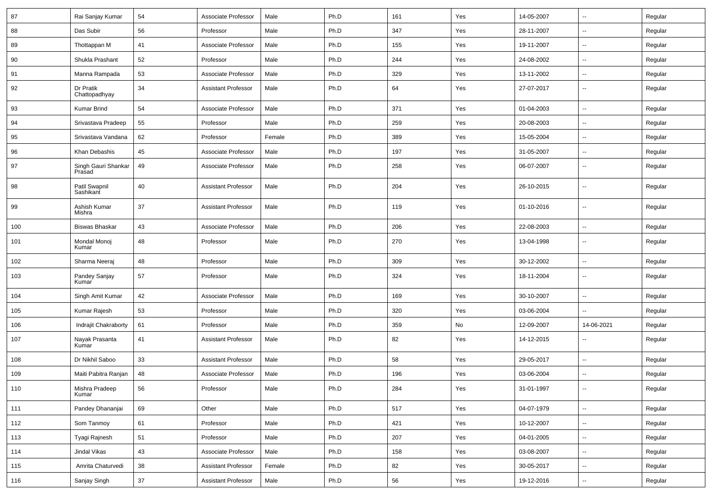| 87  | Rai Sanjay Kumar              | 54 | Associate Professor        | Male   | Ph.D | 161 | Yes | 14-05-2007 | $\sim$                   | Regular |
|-----|-------------------------------|----|----------------------------|--------|------|-----|-----|------------|--------------------------|---------|
| 88  | Das Subir                     | 56 | Professor                  | Male   | Ph.D | 347 | Yes | 28-11-2007 | $\sim$                   | Regular |
| 89  | Thottappan M                  | 41 | Associate Professor        | Male   | Ph.D | 155 | Yes | 19-11-2007 | $\sim$                   | Regular |
| 90  | Shukla Prashant               | 52 | Professor                  | Male   | Ph.D | 244 | Yes | 24-08-2002 | $\sim$                   | Regular |
| 91  | Manna Rampada                 | 53 | Associate Professor        | Male   | Ph.D | 329 | Yes | 13-11-2002 | $\overline{\phantom{a}}$ | Regular |
| 92  | Dr Pratik<br>Chattopadhyay    | 34 | <b>Assistant Professor</b> | Male   | Ph.D | 64  | Yes | 27-07-2017 | $\sim$                   | Regular |
| 93  | <b>Kumar Brind</b>            | 54 | Associate Professor        | Male   | Ph.D | 371 | Yes | 01-04-2003 | $\sim$                   | Regular |
| 94  | Srivastava Pradeep            | 55 | Professor                  | Male   | Ph.D | 259 | Yes | 20-08-2003 | $\sim$                   | Regular |
| 95  | Srivastava Vandana            | 62 | Professor                  | Female | Ph.D | 389 | Yes | 15-05-2004 | $\sim$                   | Regular |
| 96  | Khan Debashis                 | 45 | Associate Professor        | Male   | Ph.D | 197 | Yes | 31-05-2007 | $\sim$                   | Regular |
| 97  | Singh Gauri Shankar<br>Prasad | 49 | Associate Professor        | Male   | Ph.D | 258 | Yes | 06-07-2007 | $\sim$                   | Regular |
| 98  | Patil Swapnil<br>Sashikant    | 40 | <b>Assistant Professor</b> | Male   | Ph.D | 204 | Yes | 26-10-2015 | $\sim$                   | Regular |
| 99  | Ashish Kumar<br>Mishra        | 37 | <b>Assistant Professor</b> | Male   | Ph.D | 119 | Yes | 01-10-2016 | $\sim$                   | Regular |
| 100 | <b>Biswas Bhaskar</b>         | 43 | Associate Professor        | Male   | Ph.D | 206 | Yes | 22-08-2003 | $\sim$                   | Regular |
| 101 | Mondal Monoj<br>Kumar         | 48 | Professor                  | Male   | Ph.D | 270 | Yes | 13-04-1998 | $\overline{\phantom{a}}$ | Regular |
| 102 | Sharma Neeraj                 | 48 | Professor                  | Male   | Ph.D | 309 | Yes | 30-12-2002 | $\sim$                   | Regular |
| 103 | Pandey Sanjay<br>Kumar        | 57 | Professor                  | Male   | Ph.D | 324 | Yes | 18-11-2004 | $\sim$                   | Regular |
| 104 | Singh Amit Kumar              | 42 | Associate Professor        | Male   | Ph.D | 169 | Yes | 30-10-2007 | $\sim$                   | Regular |
| 105 | Kumar Rajesh                  | 53 | Professor                  | Male   | Ph.D | 320 | Yes | 03-06-2004 | $\sim$                   | Regular |
| 106 | Indrajit Chakraborty          | 61 | Professor                  | Male   | Ph.D | 359 | No  | 12-09-2007 | 14-06-2021               | Regular |
| 107 | Nayak Prasanta<br>Kumar       | 41 | <b>Assistant Professor</b> | Male   | Ph.D | 82  | Yes | 14-12-2015 | $\overline{\phantom{a}}$ | Regular |
| 108 | Dr Nikhil Saboo               | 33 | <b>Assistant Professor</b> | Male   | Ph.D | 58  | Yes | 29-05-2017 | $\overline{\phantom{a}}$ | Regular |
| 109 | Maiti Pabitra Ranjan          | 48 | Associate Professor        | Male   | Ph.D | 196 | Yes | 03-06-2004 | $\overline{\phantom{a}}$ | Regular |
| 110 | Mishra Pradeep<br>Kumar       | 56 | Professor                  | Male   | Ph.D | 284 | Yes | 31-01-1997 |                          | Regular |
| 111 | Pandey Dhananjai              | 69 | Other                      | Male   | Ph.D | 517 | Yes | 04-07-1979 | $\overline{\phantom{a}}$ | Regular |
| 112 | Som Tanmoy                    | 61 | Professor                  | Male   | Ph.D | 421 | Yes | 10-12-2007 | $\overline{\phantom{a}}$ | Regular |
| 113 | Tyagi Rajnesh                 | 51 | Professor                  | Male   | Ph.D | 207 | Yes | 04-01-2005 | $\sim$                   | Regular |
| 114 | Jindal Vikas                  | 43 | Associate Professor        | Male   | Ph.D | 158 | Yes | 03-08-2007 | $\sim$                   | Regular |
| 115 | Amrita Chaturvedi             | 38 | <b>Assistant Professor</b> | Female | Ph.D | 82  | Yes | 30-05-2017 | щ.                       | Regular |
| 116 | Sanjay Singh                  | 37 | <b>Assistant Professor</b> | Male   | Ph.D | 56  | Yes | 19-12-2016 | $\overline{\phantom{a}}$ | Regular |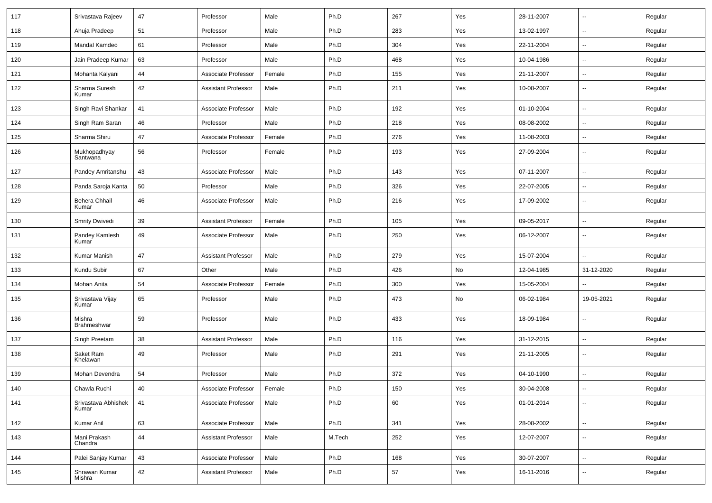| 117 | Srivastava Rajeev            | 47 | Professor                  | Male   | Ph.D   | 267 | Yes | 28-11-2007 | $\mathbf{u}$             | Regular |
|-----|------------------------------|----|----------------------------|--------|--------|-----|-----|------------|--------------------------|---------|
| 118 | Ahuja Pradeep                | 51 | Professor                  | Male   | Ph.D   | 283 | Yes | 13-02-1997 | $\sim$                   | Regular |
| 119 | Mandal Kamdeo                | 61 | Professor                  | Male   | Ph.D   | 304 | Yes | 22-11-2004 | $\mathbf{u}$             | Regular |
| 120 | Jain Pradeep Kumar           | 63 | Professor                  | Male   | Ph.D   | 468 | Yes | 10-04-1986 | $\overline{\phantom{a}}$ | Regular |
| 121 | Mohanta Kalyani              | 44 | Associate Professor        | Female | Ph.D   | 155 | Yes | 21-11-2007 | $\mathbf{u}$             | Regular |
| 122 | Sharma Suresh<br>Kumar       | 42 | <b>Assistant Professor</b> | Male   | Ph.D   | 211 | Yes | 10-08-2007 | $\sim$                   | Regular |
| 123 | Singh Ravi Shankar           | 41 | Associate Professor        | Male   | Ph.D   | 192 | Yes | 01-10-2004 | $\sim$                   | Regular |
| 124 | Singh Ram Saran              | 46 | Professor                  | Male   | Ph.D   | 218 | Yes | 08-08-2002 | $\sim$                   | Regular |
| 125 | Sharma Shiru                 | 47 | Associate Professor        | Female | Ph.D   | 276 | Yes | 11-08-2003 | $\sim$                   | Regular |
| 126 | Mukhopadhyay<br>Santwana     | 56 | Professor                  | Female | Ph.D   | 193 | Yes | 27-09-2004 | $\mathbf{u}$             | Regular |
| 127 | Pandey Amritanshu            | 43 | Associate Professor        | Male   | Ph.D   | 143 | Yes | 07-11-2007 | $\sim$                   | Regular |
| 128 | Panda Saroja Kanta           | 50 | Professor                  | Male   | Ph.D   | 326 | Yes | 22-07-2005 |                          | Regular |
| 129 | Behera Chhail<br>Kumar       | 46 | Associate Professor        | Male   | Ph.D   | 216 | Yes | 17-09-2002 | $\overline{\phantom{a}}$ | Regular |
| 130 | Smrity Dwivedi               | 39 | <b>Assistant Professor</b> | Female | Ph.D   | 105 | Yes | 09-05-2017 | $\sim$                   | Regular |
| 131 | Pandey Kamlesh<br>Kumar      | 49 | Associate Professor        | Male   | Ph.D   | 250 | Yes | 06-12-2007 | $\sim$                   | Regular |
| 132 | Kumar Manish                 | 47 | <b>Assistant Professor</b> | Male   | Ph.D   | 279 | Yes | 15-07-2004 |                          | Regular |
| 133 | Kundu Subir                  | 67 | Other                      | Male   | Ph.D   | 426 | No  | 12-04-1985 | 31-12-2020               | Regular |
| 134 | Mohan Anita                  | 54 | Associate Professor        | Female | Ph.D   | 300 | Yes | 15-05-2004 | $\sim$                   | Regular |
| 135 | Srivastava Vijay<br>Kumar    | 65 | Professor                  | Male   | Ph.D   | 473 | No  | 06-02-1984 | 19-05-2021               | Regular |
| 136 | Mishra<br>Brahmeshwar        | 59 | Professor                  | Male   | Ph.D   | 433 | Yes | 18-09-1984 | $\sim$                   | Regular |
| 137 | Singh Preetam                | 38 | Assistant Professor        | Male   | Ph.D   | 116 | Yes | 31-12-2015 | --                       | Regular |
| 138 | Saket Ram<br>Khelawan        | 49 | Professor                  | Male   | Ph.D   | 291 | Yes | 21-11-2005 | $\overline{\phantom{a}}$ | Regular |
| 139 | Mohan Devendra               | 54 | Professor                  | Male   | Ph.D   | 372 | Yes | 04-10-1990 | $\overline{\phantom{a}}$ | Regular |
| 140 | Chawla Ruchi                 | 40 | Associate Professor        | Female | Ph.D   | 150 | Yes | 30-04-2008 |                          | Regular |
| 141 | Srivastava Abhishek<br>Kumar | 41 | Associate Professor        | Male   | Ph.D   | 60  | Yes | 01-01-2014 |                          | Regular |
| 142 | Kumar Anil                   | 63 | Associate Professor        | Male   | Ph.D   | 341 | Yes | 28-08-2002 | $\sim$                   | Regular |
| 143 | Mani Prakash<br>Chandra      | 44 | Assistant Professor        | Male   | M.Tech | 252 | Yes | 12-07-2007 | $\sim$                   | Regular |
| 144 | Palei Sanjay Kumar           | 43 | Associate Professor        | Male   | Ph.D   | 168 | Yes | 30-07-2007 | $\sim$                   | Regular |
| 145 | Shrawan Kumar<br>Mishra      | 42 | Assistant Professor        | Male   | Ph.D   | 57  | Yes | 16-11-2016 | $\sim$                   | Regular |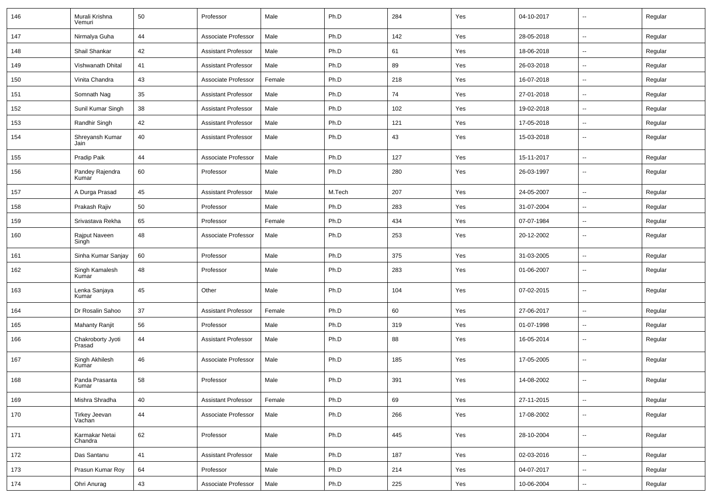| 146 | Murali Krishna<br>Vemuri    | 50 | Professor                  | Male   | Ph.D   | 284 | Yes | 04-10-2017 | $\mathbf{u}$             | Regular |
|-----|-----------------------------|----|----------------------------|--------|--------|-----|-----|------------|--------------------------|---------|
| 147 | Nirmalya Guha               | 44 | Associate Professor        | Male   | Ph.D   | 142 | Yes | 28-05-2018 | $\sim$                   | Regular |
| 148 | Shail Shankar               | 42 | <b>Assistant Professor</b> | Male   | Ph.D   | 61  | Yes | 18-06-2018 | $\sim$                   | Regular |
| 149 | Vishwanath Dhital           | 41 | <b>Assistant Professor</b> | Male   | Ph.D   | 89  | Yes | 26-03-2018 | $\overline{\phantom{a}}$ | Regular |
| 150 | Vinita Chandra              | 43 | Associate Professor        | Female | Ph.D   | 218 | Yes | 16-07-2018 | $\overline{\phantom{a}}$ | Regular |
| 151 | Somnath Nag                 | 35 | <b>Assistant Professor</b> | Male   | Ph.D   | 74  | Yes | 27-01-2018 | $\sim$                   | Regular |
| 152 | Sunil Kumar Singh           | 38 | <b>Assistant Professor</b> | Male   | Ph.D   | 102 | Yes | 19-02-2018 | $\sim$                   | Regular |
| 153 | Randhir Singh               | 42 | <b>Assistant Professor</b> | Male   | Ph.D   | 121 | Yes | 17-05-2018 | $\sim$                   | Regular |
| 154 | Shreyansh Kumar<br>Jain     | 40 | <b>Assistant Professor</b> | Male   | Ph.D   | 43  | Yes | 15-03-2018 | $\sim$                   | Regular |
| 155 | Pradip Paik                 | 44 | Associate Professor        | Male   | Ph.D   | 127 | Yes | 15-11-2017 | $\sim$                   | Regular |
| 156 | Pandey Rajendra<br>Kumar    | 60 | Professor                  | Male   | Ph.D   | 280 | Yes | 26-03-1997 | $\overline{\phantom{a}}$ | Regular |
| 157 | A Durga Prasad              | 45 | <b>Assistant Professor</b> | Male   | M.Tech | 207 | Yes | 24-05-2007 | $\overline{\phantom{a}}$ | Regular |
| 158 | Prakash Rajiv               | 50 | Professor                  | Male   | Ph.D   | 283 | Yes | 31-07-2004 | $\overline{\phantom{a}}$ | Regular |
| 159 | Srivastava Rekha            | 65 | Professor                  | Female | Ph.D   | 434 | Yes | 07-07-1984 | $\overline{\phantom{a}}$ | Regular |
| 160 | Rajput Naveen<br>Singh      | 48 | Associate Professor        | Male   | Ph.D   | 253 | Yes | 20-12-2002 | $\mathbf{u}$             | Regular |
| 161 | Sinha Kumar Sanjay          | 60 | Professor                  | Male   | Ph.D   | 375 | Yes | 31-03-2005 | $\overline{\phantom{a}}$ | Regular |
| 162 | Singh Kamalesh<br>Kumar     | 48 | Professor                  | Male   | Ph.D   | 283 | Yes | 01-06-2007 | $\mathbf{u}$             | Regular |
| 163 | Lenka Sanjaya<br>Kumar      | 45 | Other                      | Male   | Ph.D   | 104 | Yes | 07-02-2015 | $\sim$                   | Regular |
| 164 | Dr Rosalin Sahoo            | 37 | <b>Assistant Professor</b> | Female | Ph.D   | 60  | Yes | 27-06-2017 | $\mathbf{u}$             | Regular |
| 165 | <b>Mahanty Ranjit</b>       | 56 | Professor                  | Male   | Ph.D   | 319 | Yes | 01-07-1998 | $\sim$                   | Regular |
| 166 | Chakroborty Jyoti<br>Prasad | 44 | <b>Assistant Professor</b> | Male   | Ph.D   | 88  | Yes | 16-05-2014 | --                       | Regular |
| 167 | Singh Akhilesh<br>Kumar     | 46 | Associate Professor        | Male   | Ph.D   | 185 | Yes | 17-05-2005 | $\overline{\phantom{a}}$ | Regular |
| 168 | Panda Prasanta<br>Kumar     | 58 | Professor                  | Male   | Ph.D   | 391 | Yes | 14-08-2002 | --                       | Regular |
| 169 | Mishra Shradha              | 40 | <b>Assistant Professor</b> | Female | Ph.D   | 69  | Yes | 27-11-2015 | $\sim$                   | Regular |
| 170 | Tirkey Jeevan<br>Vachan     | 44 | Associate Professor        | Male   | Ph.D   | 266 | Yes | 17-08-2002 | $\overline{\phantom{a}}$ | Regular |
| 171 | Karmakar Netai<br>Chandra   | 62 | Professor                  | Male   | Ph.D   | 445 | Yes | 28-10-2004 | $\mathbf{u}$             | Regular |
| 172 | Das Santanu                 | 41 | <b>Assistant Professor</b> | Male   | Ph.D   | 187 | Yes | 02-03-2016 | $\sim$                   | Regular |
| 173 | Prasun Kumar Roy            | 64 | Professor                  | Male   | Ph.D   | 214 | Yes | 04-07-2017 | $\mathbf{u}$             | Regular |
| 174 | Ohri Anurag                 | 43 | Associate Professor        | Male   | Ph.D   | 225 | Yes | 10-06-2004 | $\sim$                   | Regular |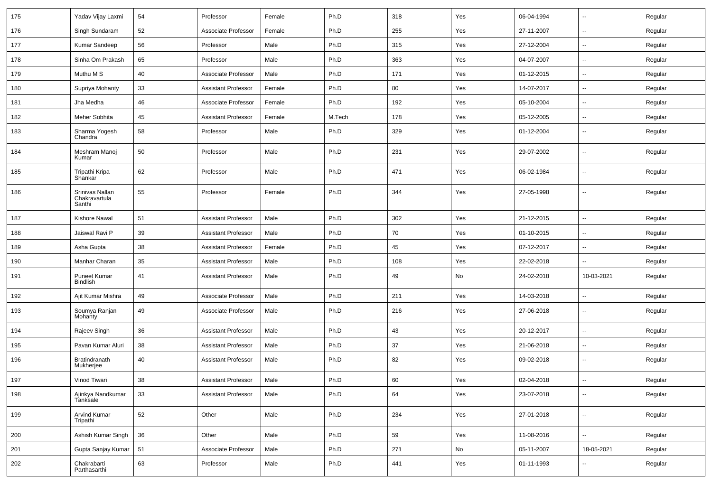| 175 | Yadav Vijay Laxmi                          | 54     | Professor                  | Female | Ph.D   | 318 | Yes | 06-04-1994 | $\sim$                   | Regular |
|-----|--------------------------------------------|--------|----------------------------|--------|--------|-----|-----|------------|--------------------------|---------|
| 176 | Singh Sundaram                             | 52     | Associate Professor        | Female | Ph.D   | 255 | Yes | 27-11-2007 | --                       | Regular |
| 177 | Kumar Sandeep                              | 56     | Professor                  | Male   | Ph.D   | 315 | Yes | 27-12-2004 | $\overline{\phantom{a}}$ | Regular |
| 178 | Sinha Om Prakash                           | 65     | Professor                  | Male   | Ph.D   | 363 | Yes | 04-07-2007 | $\overline{\phantom{a}}$ | Regular |
| 179 | Muthu M S                                  | 40     | Associate Professor        | Male   | Ph.D   | 171 | Yes | 01-12-2015 | --                       | Regular |
| 180 | Supriya Mohanty                            | 33     | <b>Assistant Professor</b> | Female | Ph.D   | 80  | Yes | 14-07-2017 | $\sim$                   | Regular |
| 181 | Jha Medha                                  | 46     | Associate Professor        | Female | Ph.D   | 192 | Yes | 05-10-2004 | $\sim$                   | Regular |
| 182 | Meher Sobhita                              | 45     | <b>Assistant Professor</b> | Female | M.Tech | 178 | Yes | 05-12-2005 | $\mathbf{u}$             | Regular |
| 183 | Sharma Yogesh<br>Chandra                   | 58     | Professor                  | Male   | Ph.D   | 329 | Yes | 01-12-2004 | $\overline{a}$           | Regular |
| 184 | Meshram Manoj<br>Kumar                     | 50     | Professor                  | Male   | Ph.D   | 231 | Yes | 29-07-2002 | $\mathbf{u}$             | Regular |
| 185 | Tripathi Kripa<br>Shankar                  | 62     | Professor                  | Male   | Ph.D   | 471 | Yes | 06-02-1984 | $\overline{\phantom{a}}$ | Regular |
| 186 | Srinivas Nallan<br>Chakravartula<br>Santhi | 55     | Professor                  | Female | Ph.D   | 344 | Yes | 27-05-1998 | $\overline{\phantom{a}}$ | Regular |
| 187 | Kishore Nawal                              | 51     | <b>Assistant Professor</b> | Male   | Ph.D   | 302 | Yes | 21-12-2015 | $\overline{\phantom{a}}$ | Regular |
| 188 | Jaiswal Ravi P                             | 39     | <b>Assistant Professor</b> | Male   | Ph.D   | 70  | Yes | 01-10-2015 | $\overline{a}$           | Regular |
| 189 | Asha Gupta                                 | 38     | <b>Assistant Professor</b> | Female | Ph.D   | 45  | Yes | 07-12-2017 | $\overline{\phantom{a}}$ | Regular |
| 190 | Manhar Charan                              | 35     | <b>Assistant Professor</b> | Male   | Ph.D   | 108 | Yes | 22-02-2018 | --                       | Regular |
| 191 | <b>Puneet Kumar</b><br><b>Bindlish</b>     | 41     | <b>Assistant Professor</b> | Male   | Ph.D   | 49  | No  | 24-02-2018 | 10-03-2021               | Regular |
| 192 | Ajit Kumar Mishra                          | 49     | Associate Professor        | Male   | Ph.D   | 211 | Yes | 14-03-2018 | $\mathbf{u}$             | Regular |
| 193 | Soumya Ranjan<br>Mohanty                   | 49     | Associate Professor        | Male   | Ph.D   | 216 | Yes | 27-06-2018 | $\sim$                   | Regular |
| 194 | Rajeev Singh                               | 36     | <b>Assistant Professor</b> | Male   | Ph.D   | 43  | Yes | 20-12-2017 | $\overline{\phantom{a}}$ | Regular |
| 195 | Pavan Kumar Aluri                          | 38     | <b>Assistant Professor</b> | Male   | Ph.D   | 37  | Yes | 21-06-2018 | $\overline{\phantom{a}}$ | Regular |
| 196 | Bratindranath<br>Mukherjee                 | 40     | <b>Assistant Professor</b> | Male   | Ph.D   | 82  | Yes | 09-02-2018 | --                       | Regular |
| 197 | Vinod Tiwari                               | 38     | <b>Assistant Professor</b> | Male   | Ph.D   | 60  | Yes | 02-04-2018 |                          | Regular |
| 198 | Ajinkya Nandkumar<br>Tanksale              | $33\,$ | <b>Assistant Professor</b> | Male   | Ph.D   | 64  | Yes | 23-07-2018 | $\overline{\phantom{a}}$ | Regular |
| 199 | Arvind Kumar<br>Tripathi                   | 52     | Other                      | Male   | Ph.D   | 234 | Yes | 27-01-2018 | $\sim$                   | Regular |
| 200 | Ashish Kumar Singh                         | 36     | Other                      | Male   | Ph.D   | 59  | Yes | 11-08-2016 | $\sim$                   | Regular |
| 201 | Gupta Sanjay Kumar                         | 51     | Associate Professor        | Male   | Ph.D   | 271 | No  | 05-11-2007 | 18-05-2021               | Regular |
| 202 | Chakrabarti<br>Parthasarthi                | 63     | Professor                  | Male   | Ph.D   | 441 | Yes | 01-11-1993 | $\overline{\phantom{a}}$ | Regular |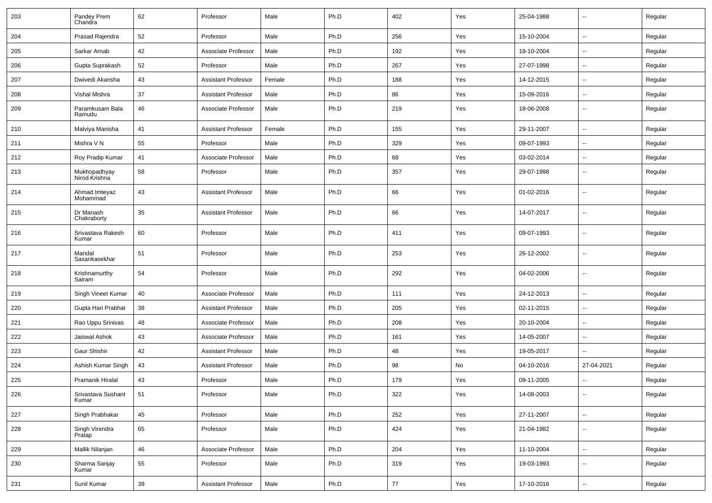| 203 | Pandey Prem<br>Chandra        | 62       | Professor                  | Male   | Ph.D | 402 | Yes | 25-04-1988 | $\overline{\phantom{a}}$ | Regular |
|-----|-------------------------------|----------|----------------------------|--------|------|-----|-----|------------|--------------------------|---------|
| 204 | Prasad Rajendra               | 52       | Professor                  | Male   | Ph.D | 256 | Yes | 15-10-2004 | $\sim$                   | Regular |
| 205 | Sarkar Arnab                  | 42       | Associate Professor        | Male   | Ph.D | 192 | Yes | 18-10-2004 | $\overline{\phantom{a}}$ | Regular |
| 206 | Gupta Suprakash               | 52       | Professor                  | Male   | Ph.D | 267 | Yes | 27-07-1998 | $\overline{a}$           | Regular |
| 207 | Dwivedi Akansha               | 43       | <b>Assistant Professor</b> | Female | Ph.D | 188 | Yes | 14-12-2015 | --                       | Regular |
| 208 | Vishal Mishra                 | 37       | <b>Assistant Professor</b> | Male   | Ph.D | 86  | Yes | 15-09-2016 | $\overline{\phantom{a}}$ | Regular |
| 209 | Paramkusam Bala<br>Ramudu     | 46       | Associate Professor        | Male   | Ph.D | 219 | Yes | 18-06-2008 | $\overline{\phantom{a}}$ | Regular |
| 210 | Malviya Manisha               | 41       | <b>Assistant Professor</b> | Female | Ph.D | 155 | Yes | 29-11-2007 | $\overline{a}$           | Regular |
| 211 | Mishra V N                    | 55       | Professor                  | Male   | Ph.D | 329 | Yes | 09-07-1993 | $\overline{\phantom{a}}$ | Regular |
| 212 | Roy Pradip Kumar              | 41       | Associate Professor        | Male   | Ph.D | 68  | Yes | 03-02-2014 | --                       | Regular |
| 213 | Mukhopadhyay<br>Nirod Krishna | 58       | Professor                  | Male   | Ph.D | 357 | Yes | 29-07-1998 | $\overline{\phantom{a}}$ | Regular |
| 214 | Ahmad Imteyaz<br>Mohammad     | 43       | <b>Assistant Professor</b> | Male   | Ph.D | 66  | Yes | 01-02-2016 | --                       | Regular |
| 215 | Dr Manash<br>Chakraborty      | 35       | <b>Assistant Professor</b> | Male   | Ph.D | 66  | Yes | 14-07-2017 | --                       | Regular |
| 216 | Srivastava Rakesh<br>Kumar    | 60       | Professor                  | Male   | Ph.D | 411 | Yes | 09-07-1993 | $\overline{\phantom{a}}$ | Regular |
| 217 | Mandal<br>Sasankasekhar       | 51       | Professor                  | Male   | Ph.D | 253 | Yes | 26-12-2002 | $\overline{\phantom{a}}$ | Regular |
| 218 | Krishnamurthy<br>Sairam       | 54       | Professor                  | Male   | Ph.D | 292 | Yes | 04-02-2006 | --                       | Regular |
| 219 | Singh Vineet Kumar            | 40       | Associate Professor        | Male   | Ph.D | 111 | Yes | 24-12-2013 | $\mathbf{u}$             | Regular |
| 220 | Gupta Hari Prabhat            | 38       | <b>Assistant Professor</b> | Male   | Ph.D | 205 | Yes | 02-11-2015 | $\overline{\phantom{a}}$ | Regular |
| 221 | Rao Uppu Srinivas             | 48       | Associate Professor        | Male   | Ph.D | 208 | Yes | 20-10-2004 | --                       | Regular |
| 222 | Jaiswal Ashok                 | 43       | Associate Professor        | Male   | Ph.D | 161 | Yes | 14-05-2007 | $\overline{\phantom{a}}$ | Regular |
| 223 | Gaur Shishir                  | 42       | <b>Assistant Professor</b> | Male   | Ph.D | 48  | Yes | 19-05-2017 | $\sim$                   | Regular |
| 224 | Ashish Kumar Singh            | 43       | <b>Assistant Professor</b> | Male   | Ph.D | 98  | No  | 04-10-2016 | 27-04-2021               | Regular |
| 225 | Pramanik Hiralal              | 43       | Professor                  | Male   | Ph.D | 179 | Yes | 09-11-2005 |                          | Regular |
| 226 | Srivastava Sushant<br>Kumar   | 51       | Professor                  | Male   | Ph.D | 322 | Yes | 14-08-2003 | $\overline{\phantom{a}}$ | Regular |
| 227 | Singh Prabhakar               | $\bf 45$ | Professor                  | Male   | Ph.D | 252 | Yes | 27-11-2007 | $\sim$                   | Regular |
| 228 | Singh Virendra<br>Pratap      | 65       | Professor                  | Male   | Ph.D | 424 | Yes | 21-04-1982 | Ξ.                       | Regular |
| 229 | Mallik Nilanjan               | 46       | Associate Professor        | Male   | Ph.D | 204 | Yes | 11-10-2004 | $\sim$                   | Regular |
| 230 | Sharma Sanjay<br>Kumar        | 55       | Professor                  | Male   | Ph.D | 319 | Yes | 19-03-1993 | $\sim$                   | Regular |
| 231 | Sunil Kumar                   | 39       | <b>Assistant Professor</b> | Male   | Ph.D | 77  | Yes | 17-10-2016 | $\sim$                   | Regular |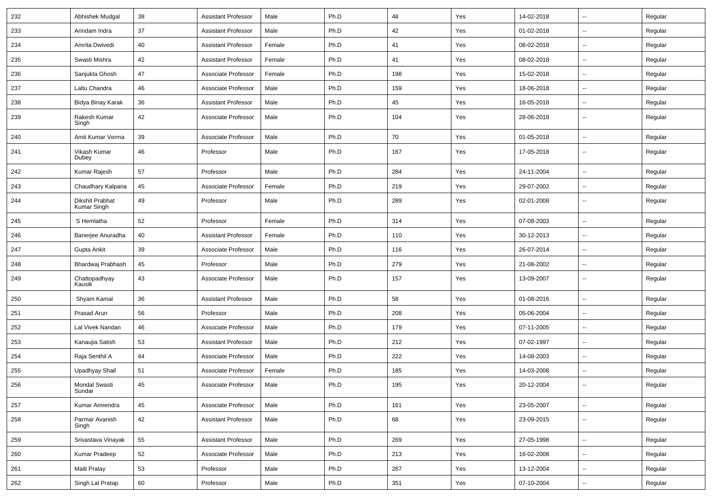| 232 | Abhishek Mudgal                | 38 | <b>Assistant Professor</b> | Male   | Ph.D | 48  | Yes | 14-02-2018 | $\mathbf{u}$             | Regular |
|-----|--------------------------------|----|----------------------------|--------|------|-----|-----|------------|--------------------------|---------|
| 233 | Arindam Indra                  | 37 | <b>Assistant Professor</b> | Male   | Ph.D | 42  | Yes | 01-02-2018 | $\sim$                   | Regular |
| 234 | Amrita Dwivedi                 | 40 | <b>Assistant Professor</b> | Female | Ph.D | 41  | Yes | 08-02-2018 | $\mathbf{u}$             | Regular |
| 235 | Swasti Mishra                  | 42 | <b>Assistant Professor</b> | Female | Ph.D | 41  | Yes | 08-02-2018 | $\overline{\phantom{a}}$ | Regular |
| 236 | Sanjukta Ghosh                 | 47 | Associate Professor        | Female | Ph.D | 198 | Yes | 15-02-2018 | $\mathbf{u}$             | Regular |
| 237 | Laltu Chandra                  | 46 | Associate Professor        | Male   | Ph.D | 159 | Yes | 18-06-2018 | $\overline{a}$           | Regular |
| 238 | Bidya Binay Karak              | 36 | Assistant Professor        | Male   | Ph.D | 45  | Yes | 16-05-2018 | $\sim$                   | Regular |
| 239 | Rakesh Kumar<br>Singh          | 42 | Associate Professor        | Male   | Ph.D | 104 | Yes | 28-06-2018 | $\sim$                   | Regular |
| 240 | Amit Kumar Verma               | 39 | Associate Professor        | Male   | Ph.D | 70  | Yes | 01-05-2018 | $\sim$                   | Regular |
| 241 | Vikash Kumar<br>Dubey          | 46 | Professor                  | Male   | Ph.D | 167 | Yes | 17-05-2018 | $\overline{\phantom{a}}$ | Regular |
| 242 | Kumar Rajesh                   | 57 | Professor                  | Male   | Ph.D | 284 | Yes | 24-11-2004 | $\mathbf{u}$             | Regular |
| 243 | Chaudhary Kalpana              | 45 | Associate Professor        | Female | Ph.D | 219 | Yes | 29-07-2002 | $\overline{\phantom{a}}$ | Regular |
| 244 | Dikshit Prabhat<br>Kumar Singh | 49 | Professor                  | Male   | Ph.D | 289 | Yes | 02-01-2008 | $\overline{\phantom{a}}$ | Regular |
| 245 | S Hemlatha                     | 52 | Professor                  | Female | Ph.D | 314 | Yes | 07-08-2003 | $\mathbf{u}$             | Regular |
| 246 | Banerjee Anuradha              | 40 | <b>Assistant Professor</b> | Female | Ph.D | 110 | Yes | 30-12-2013 | $\sim$                   | Regular |
| 247 | Gupta Ankit                    | 39 | Associate Professor        | Male   | Ph.D | 116 | Yes | 26-07-2014 | $\sim$                   | Regular |
| 248 | Bhardwaj Prabhash              | 45 | Professor                  | Male   | Ph.D | 279 | Yes | 21-08-2002 | $\sim$                   | Regular |
| 249 | Chattopadhyay<br>Kausik        | 43 | Associate Professor        | Male   | Ph.D | 157 | Yes | 13-09-2007 | $\overline{\phantom{a}}$ | Regular |
| 250 | Shyam Kamal                    | 36 | <b>Assistant Professor</b> | Male   | Ph.D | 58  | Yes | 01-08-2016 | --                       | Regular |
| 251 | Prasad Arun                    | 56 | Professor                  | Male   | Ph.D | 208 | Yes | 05-06-2004 | $\overline{\phantom{a}}$ | Regular |
| 252 | Lal Vivek Nandan               | 46 | Associate Professor        | Male   | Ph.D | 179 | Yes | 07-11-2005 | $\mathbf{u}$             | Regular |
| 253 | Kanaujia Satish                | 53 | <b>Assistant Professor</b> | Male   | Ph.D | 212 | Yes | 07-02-1997 | $\overline{\phantom{a}}$ | Regular |
| 254 | Raja Senthil A                 | 44 | Associate Professor        | Male   | Ph.D | 222 | Yes | 14-08-2003 | $\sim$                   | Regular |
| 255 | Upadhyay Shail                 | 51 | Associate Professor        | Female | Ph.D | 185 | Yes | 14-03-2008 | $\sim$                   | Regular |
| 256 | <b>Mondal Swasti</b><br>Sundar | 45 | Associate Professor        | Male   | Ph.D | 195 | Yes | 20-12-2004 | $\mathbf{u}$             | Regular |
| 257 | Kumar Amrendra                 | 45 | Associate Professor        | Male   | Ph.D | 161 | Yes | 23-05-2007 | $\sim$                   | Regular |
| 258 | Parmar Avanish<br>Singh        | 42 | <b>Assistant Professor</b> | Male   | Ph.D | 68  | Yes | 23-09-2015 | $\mathbf{u}$             | Regular |
| 259 | Srivastava Vinayak             | 55 | <b>Assistant Professor</b> | Male   | Ph.D | 269 | Yes | 27-05-1998 | $\sim$                   | Regular |
| 260 | Kumar Pradeep                  | 52 | Associate Professor        | Male   | Ph.D | 213 | Yes | 16-02-2008 | $\sim$                   | Regular |
| 261 | Maiti Pralay                   | 53 | Professor                  | Male   | Ph.D | 267 | Yes | 13-12-2004 | $\sim$                   | Regular |
| 262 | Singh Lal Pratap               | 60 | Professor                  | Male   | Ph.D | 351 | Yes | 07-10-2004 | $\sim$                   | Regular |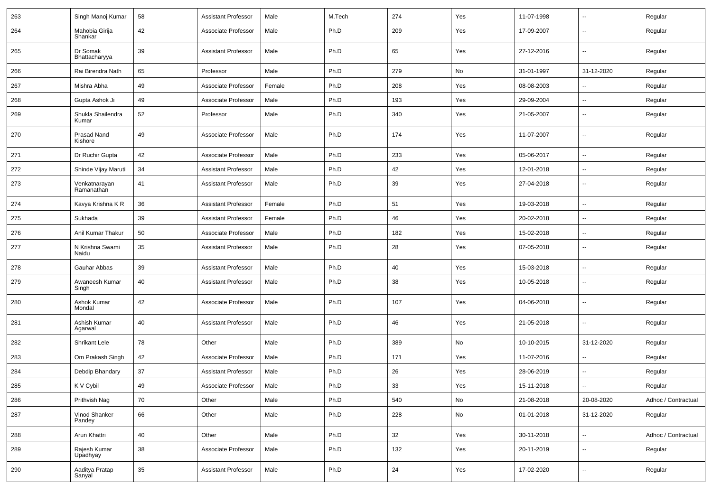| 263 | Singh Manoj Kumar           | 58 | <b>Assistant Professor</b> | Male   | M.Tech | 274 | Yes | 11-07-1998 | $\overline{\phantom{a}}$ | Regular             |
|-----|-----------------------------|----|----------------------------|--------|--------|-----|-----|------------|--------------------------|---------------------|
| 264 | Mahobia Girija<br>Shankar   | 42 | Associate Professor        | Male   | Ph.D   | 209 | Yes | 17-09-2007 | $\overline{\phantom{a}}$ | Regular             |
| 265 | Dr Somak<br>Bhattacharyya   | 39 | <b>Assistant Professor</b> | Male   | Ph.D   | 65  | Yes | 27-12-2016 | $\overline{\phantom{a}}$ | Regular             |
| 266 | Rai Birendra Nath           | 65 | Professor                  | Male   | Ph.D   | 279 | No  | 31-01-1997 | 31-12-2020               | Regular             |
| 267 | Mishra Abha                 | 49 | Associate Professor        | Female | Ph.D   | 208 | Yes | 08-08-2003 | --                       | Regular             |
| 268 | Gupta Ashok Ji              | 49 | Associate Professor        | Male   | Ph.D   | 193 | Yes | 29-09-2004 | $\overline{\phantom{a}}$ | Regular             |
| 269 | Shukla Shailendra<br>Kumar  | 52 | Professor                  | Male   | Ph.D   | 340 | Yes | 21-05-2007 | ⊷.                       | Regular             |
| 270 | Prasad Nand<br>Kishore      | 49 | Associate Professor        | Male   | Ph.D   | 174 | Yes | 11-07-2007 | $\overline{\phantom{a}}$ | Regular             |
| 271 | Dr Ruchir Gupta             | 42 | Associate Professor        | Male   | Ph.D   | 233 | Yes | 05-06-2017 | Ξ.                       | Regular             |
| 272 | Shinde Vijay Maruti         | 34 | <b>Assistant Professor</b> | Male   | Ph.D   | 42  | Yes | 12-01-2018 | $\overline{\phantom{a}}$ | Regular             |
| 273 | Venkatnarayan<br>Ramanathan | 41 | <b>Assistant Professor</b> | Male   | Ph.D   | 39  | Yes | 27-04-2018 | $\overline{\phantom{a}}$ | Regular             |
| 274 | Kavya Krishna K R           | 36 | <b>Assistant Professor</b> | Female | Ph.D   | 51  | Yes | 19-03-2018 | ⊷.                       | Regular             |
| 275 | Sukhada                     | 39 | <b>Assistant Professor</b> | Female | Ph.D   | 46  | Yes | 20-02-2018 | $\sim$                   | Regular             |
| 276 | Anil Kumar Thakur           | 50 | Associate Professor        | Male   | Ph.D   | 182 | Yes | 15-02-2018 | --                       | Regular             |
| 277 | N Krishna Swami<br>Naidu    | 35 | <b>Assistant Professor</b> | Male   | Ph.D   | 28  | Yes | 07-05-2018 | -−                       | Regular             |
| 278 | Gauhar Abbas                | 39 | <b>Assistant Professor</b> | Male   | Ph.D   | 40  | Yes | 15-03-2018 | -−                       | Regular             |
| 279 | Awaneesh Kumar<br>Singh     | 40 | <b>Assistant Professor</b> | Male   | Ph.D   | 38  | Yes | 10-05-2018 | $\sim$                   | Regular             |
| 280 | Ashok Kumar<br>Mondal       | 42 | Associate Professor        | Male   | Ph.D   | 107 | Yes | 04-06-2018 | $\overline{\phantom{a}}$ | Regular             |
| 281 | Ashish Kumar<br>Agarwal     | 40 | <b>Assistant Professor</b> | Male   | Ph.D   | 46  | Yes | 21-05-2018 | $\overline{\phantom{a}}$ | Regular             |
| 282 | <b>Shrikant Lele</b>        | 78 | Other                      | Male   | Ph.D   | 389 | No  | 10-10-2015 | 31-12-2020               | Regular             |
| 283 | Om Prakash Singh            | 42 | Associate Professor        | Male   | Ph.D   | 171 | Yes | 11-07-2016 | $\overline{\phantom{a}}$ | Regular             |
| 284 | Debdip Bhandary             | 37 | <b>Assistant Professor</b> | Male   | Ph.D   | 26  | Yes | 28-06-2019 | $\overline{\phantom{a}}$ | Regular             |
| 285 | K V Cybil                   | 49 | Associate Professor        | Male   | Ph.D   | 33  | Yes | 15-11-2018 | $\sim$                   | Regular             |
| 286 | Prithvish Nag               | 70 | Other                      | Male   | Ph.D   | 540 | No  | 21-08-2018 | 20-08-2020               | Adhoc / Contractual |
| 287 | Vinod Shanker<br>Pandey     | 66 | Other                      | Male   | Ph.D   | 228 | No  | 01-01-2018 | 31-12-2020               | Regular             |
| 288 | Arun Khattri                | 40 | Other                      | Male   | Ph.D   | 32  | Yes | 30-11-2018 | $\sim$                   | Adhoc / Contractual |
| 289 | Rajesh Kumar<br>Upadhyay    | 38 | Associate Professor        | Male   | Ph.D   | 132 | Yes | 20-11-2019 | н.                       | Regular             |
| 290 | Aaditya Pratap<br>Sanyal    | 35 | <b>Assistant Professor</b> | Male   | Ph.D   | 24  | Yes | 17-02-2020 | $\sim$                   | Regular             |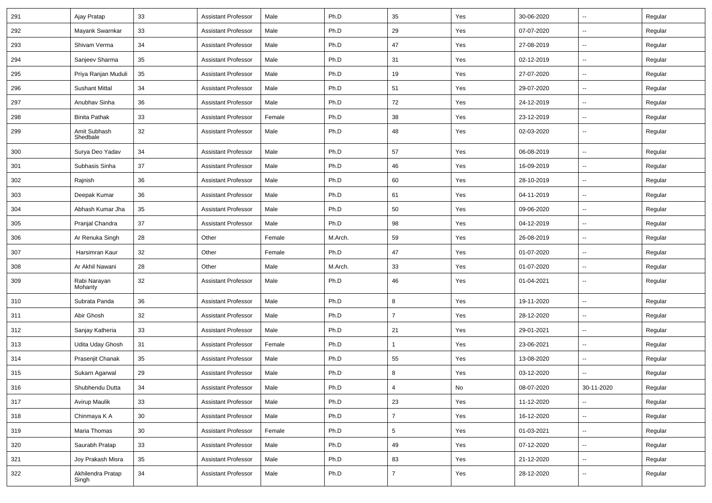| 291 | Ajay Pratap                | 33              | <b>Assistant Professor</b> | Male   | Ph.D    | 35              | Yes | 30-06-2020 | $\overline{\phantom{a}}$ | Regular |
|-----|----------------------------|-----------------|----------------------------|--------|---------|-----------------|-----|------------|--------------------------|---------|
| 292 | Mayank Swarnkar            | 33              | <b>Assistant Professor</b> | Male   | Ph.D    | 29              | Yes | 07-07-2020 | ⊷.                       | Regular |
| 293 | Shivam Verma               | 34              | <b>Assistant Professor</b> | Male   | Ph.D    | 47              | Yes | 27-08-2019 | $\overline{\phantom{a}}$ | Regular |
| 294 | Sanjeev Sharma             | 35              | <b>Assistant Professor</b> | Male   | Ph.D    | 31              | Yes | 02-12-2019 | --                       | Regular |
| 295 | Priya Ranjan Muduli        | 35              | <b>Assistant Professor</b> | Male   | Ph.D    | 19              | Yes | 27-07-2020 | $\overline{a}$           | Regular |
| 296 | <b>Sushant Mittal</b>      | 34              | <b>Assistant Professor</b> | Male   | Ph.D    | 51              | Yes | 29-07-2020 | $\overline{\phantom{a}}$ | Regular |
| 297 | Anubhav Sinha              | 36              | <b>Assistant Professor</b> | Male   | Ph.D    | 72              | Yes | 24-12-2019 | Ξ.                       | Regular |
| 298 | <b>Binita Pathak</b>       | 33              | <b>Assistant Professor</b> | Female | Ph.D    | 38              | Yes | 23-12-2019 | ⊷.                       | Regular |
| 299 | Amit Subhash<br>Shedbale   | 32              | <b>Assistant Professor</b> | Male   | Ph.D    | 48              | Yes | 02-03-2020 | $\overline{\phantom{a}}$ | Regular |
| 300 | Surya Deo Yadav            | 34              | <b>Assistant Professor</b> | Male   | Ph.D    | 57              | Yes | 06-08-2019 | Ξ.                       | Regular |
| 301 | Subhasis Sinha             | 37              | <b>Assistant Professor</b> | Male   | Ph.D    | 46              | Yes | 16-09-2019 | --                       | Regular |
| 302 | Rajnish                    | 36              | <b>Assistant Professor</b> | Male   | Ph.D    | 60              | Yes | 28-10-2019 | -−                       | Regular |
| 303 | Deepak Kumar               | 36              | <b>Assistant Professor</b> | Male   | Ph.D    | 61              | Yes | 04-11-2019 | $\mathbf{u}$             | Regular |
| 304 | Abhash Kumar Jha           | 35              | <b>Assistant Professor</b> | Male   | Ph.D    | 50              | Yes | 09-06-2020 | $\overline{\phantom{a}}$ | Regular |
| 305 | Pranjal Chandra            | 37              | <b>Assistant Professor</b> | Male   | Ph.D    | 98              | Yes | 04-12-2019 | ⊷.                       | Regular |
| 306 | Ar Renuka Singh            | 28              | Other                      | Female | M.Arch. | 59              | Yes | 26-08-2019 | $\overline{\phantom{a}}$ | Regular |
| 307 | Harsimran Kaur             | 32              | Other                      | Female | Ph.D    | 47              | Yes | 01-07-2020 | --                       | Regular |
| 308 | Ar Akhil Nawani            | 28              | Other                      | Male   | M.Arch. | 33              | Yes | 01-07-2020 | -−                       | Regular |
| 309 | Rabi Narayan<br>Mohanty    | 32              | <b>Assistant Professor</b> | Male   | Ph.D    | 46              | Yes | 01-04-2021 | $\overline{\phantom{a}}$ | Regular |
| 310 | Subrata Panda              | 36              | <b>Assistant Professor</b> | Male   | Ph.D    | 8               | Yes | 19-11-2020 | --                       | Regular |
| 311 | Abir Ghosh                 | 32              | <b>Assistant Professor</b> | Male   | Ph.D    | $\overline{7}$  | Yes | 28-12-2020 | $\overline{\phantom{a}}$ | Regular |
| 312 | Sanjay Katheria            | 33              | <b>Assistant Professor</b> | Male   | Ph.D    | 21              | Yes | 29-01-2021 | $\overline{\phantom{a}}$ | Regular |
| 313 | Udita Uday Ghosh           | 31              | <b>Assistant Professor</b> | Female | Ph.D    | $\mathbf{1}$    | Yes | 23-06-2021 | $\overline{\phantom{a}}$ | Regular |
| 314 | Prasenjit Chanak           | 35              | <b>Assistant Professor</b> | Male   | Ph.D    | 55              | Yes | 13-08-2020 |                          | Regular |
| 315 | Sukarn Agarwal             | 29              | <b>Assistant Professor</b> | Male   | Ph.D    | 8               | Yes | 03-12-2020 | $\overline{a}$           | Regular |
| 316 | Shubhendu Dutta            | 34              | Assistant Professor        | Male   | Ph.D    |                 | No  | 08-07-2020 | 30-11-2020               | Regular |
| 317 | Avirup Maulik              | 33              | Assistant Professor        | Male   | Ph.D    | 23              | Yes | 11-12-2020 | $\sim$                   | Regular |
| 318 | Chinmaya K A               | 30 <sup>°</sup> | <b>Assistant Professor</b> | Male   | Ph.D    | $\overline{7}$  | Yes | 16-12-2020 | $\sim$                   | Regular |
| 319 | Maria Thomas               | 30 <sup>°</sup> | <b>Assistant Professor</b> | Female | Ph.D    | $5\overline{)}$ | Yes | 01-03-2021 | н.                       | Regular |
| 320 | Saurabh Pratap             | 33              | <b>Assistant Professor</b> | Male   | Ph.D    | 49              | Yes | 07-12-2020 | $\sim$                   | Regular |
| 321 | Joy Prakash Misra          | 35              | <b>Assistant Professor</b> | Male   | Ph.D    | 83              | Yes | 21-12-2020 | $\sim$                   | Regular |
| 322 | Akhilendra Pratap<br>Singh | 34              | <b>Assistant Professor</b> | Male   | Ph.D    | $\overline{7}$  | Yes | 28-12-2020 | $\overline{\phantom{a}}$ | Regular |